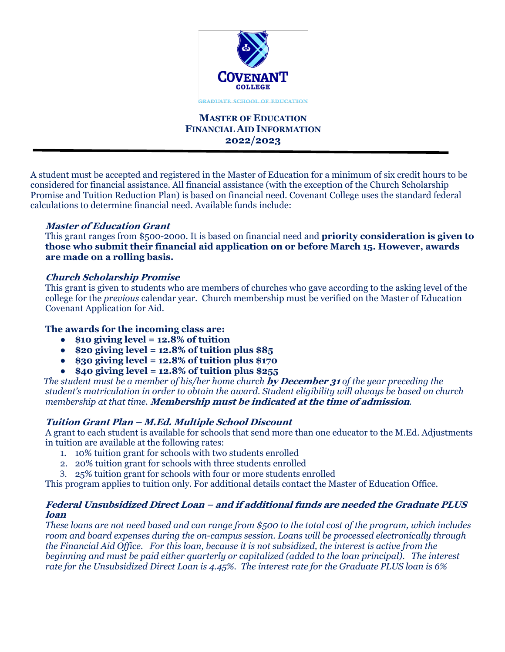

# **MASTER OF EDUCATION FINANCIAL AID INFORMATION 2022/2023**

A student must be accepted and registered in the Master of Education for a minimum of six credit hours to be considered for financial assistance. All financial assistance (with the exception of the Church Scholarship Promise and Tuition Reduction Plan) is based on financial need. Covenant College uses the standard federal calculations to determine financial need. Available funds include:

### **Master of Education Grant**

This grant ranges from \$500-2000. It is based on financial need and **priority consideration is given to those who submit their financial aid application on or before March 15. However, awards are made on a rolling basis.**

# **Church Scholarship Promise**

This grant is given to students who are members of churches who gave according to the asking level of the college for the *previous* calendar year. Church membership must be verified on the Master of Education Covenant Application for Aid.

## **The awards for the incoming class are:**

- **\$10 giving level = 12.8% of tuition**
- **\$20 giving level = 12.8% of tuition plus \$85**
- $\bullet$  \$30 giving level = 12.8% of tuition plus \$170
- **\$40 giving level = 12.8% of tuition plus \$255**

 *The student must be a member of his/her home church* **by December 31** *of the year preceding the student's matriculation in order to obtain the award. Student eligibility will always be based on church membership at that time.* **Membership must be indicated at the time of admission***.*

# **Tuition Grant Plan – M.Ed. Multiple School Discount**

A grant to each student is available for schools that send more than one educator to the M.Ed. Adjustments in tuition are available at the following rates:

- 1. 10% tuition grant for schools with two students enrolled
- 2. 20% tuition grant for schools with three students enrolled
- 3. 25% tuition grant for schools with four or more students enrolled

This program applies to tuition only. For additional details contact the Master of Education Office.

### **Federal Unsubsidized Direct Loan – and if additional funds are needed the Graduate PLUS loan**

*These loans are not need based and can range from \$500 to the total cost of the program, which includes room and board expenses during the on-campus session. Loans will be processed electronically through the Financial Aid Office. For this loan, because it is not subsidized, the interest is active from the beginning and must be paid either quarterly or capitalized (added to the loan principal). The interest rate for the Unsubsidized Direct Loan is 4.45%. The interest rate for the Graduate PLUS loan is 6%*